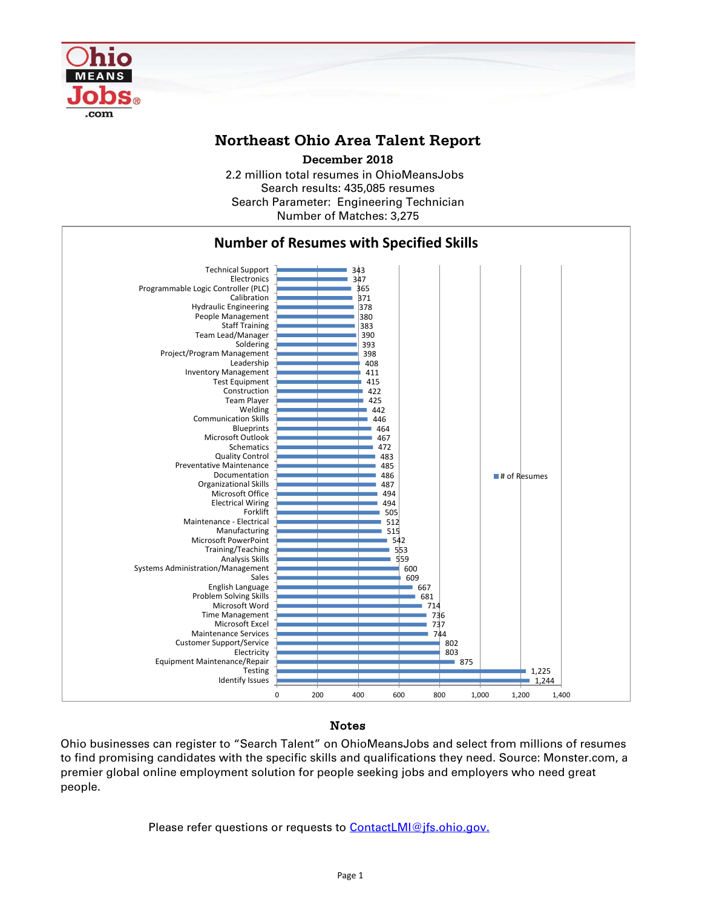

## **Northeast Ohio Area Talent Report**

2.2 million total resumes in OhioMeansJobs Search results: 435,085 resumes Number of Matches: 3,275 Search Parameter: Engineering Technician **December 2018**



## Notes

Ohio businesses can register to "Search Talent" on OhioMeansJobs and select from millions of resumes to find promising candidates with the specific skills and qualifications they need. Source: Monster.com, a premier global online employment solution for people seeking jobs and employers who need great people.

Please refer questions or requests to [ContactLMI@jfs.ohio.gov.](mailto:ContactLMI@jfs.ohio.gov.)